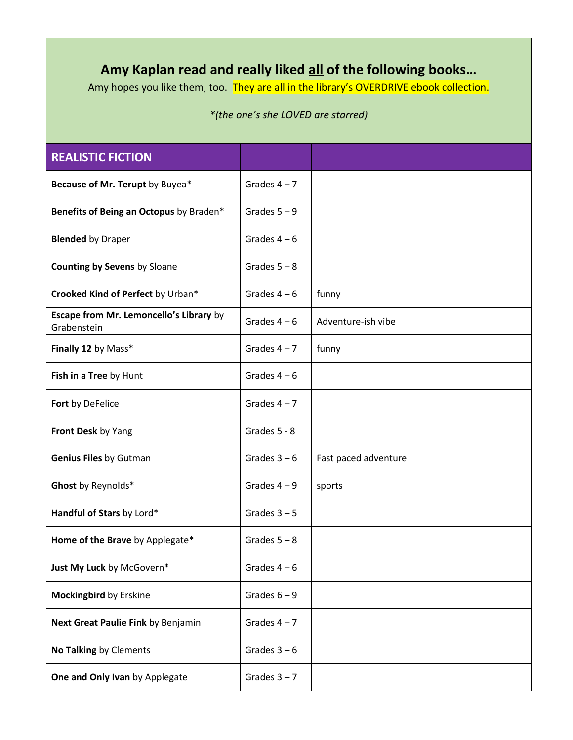## **Amy Kaplan read and really liked all of the following books…**

Amy hopes you like them, too. They are all in the library's OVERDRIVE ebook collection.

## *\*(the one's she LOVED are starred)*

| <b>REALISTIC FICTION</b>                               |                |                      |
|--------------------------------------------------------|----------------|----------------------|
| Because of Mr. Terupt by Buyea*                        | Grades $4-7$   |                      |
| Benefits of Being an Octopus by Braden*                | Grades $5 - 9$ |                      |
| <b>Blended by Draper</b>                               | Grades $4-6$   |                      |
| <b>Counting by Sevens by Sloane</b>                    | Grades $5 - 8$ |                      |
| Crooked Kind of Perfect by Urban*                      | Grades $4-6$   | funny                |
| Escape from Mr. Lemoncello's Library by<br>Grabenstein | Grades $4-6$   | Adventure-ish vibe   |
| Finally 12 by Mass*                                    | Grades $4-7$   | funny                |
| Fish in a Tree by Hunt                                 | Grades $4-6$   |                      |
| Fort by DeFelice                                       | Grades $4-7$   |                      |
| Front Desk by Yang                                     | Grades 5 - 8   |                      |
| <b>Genius Files by Gutman</b>                          | Grades $3-6$   | Fast paced adventure |
| Ghost by Reynolds*                                     | Grades $4-9$   | sports               |
| Handful of Stars by Lord*                              | Grades $3 - 5$ |                      |
| Home of the Brave by Applegate*                        | Grades $5 - 8$ |                      |
| Just My Luck by McGovern*                              | Grades $4-6$   |                      |
| <b>Mockingbird by Erskine</b>                          | Grades $6 - 9$ |                      |
| Next Great Paulie Fink by Benjamin                     | Grades $4-7$   |                      |
| No Talking by Clements                                 | Grades $3-6$   |                      |
| One and Only Ivan by Applegate                         | Grades $3 - 7$ |                      |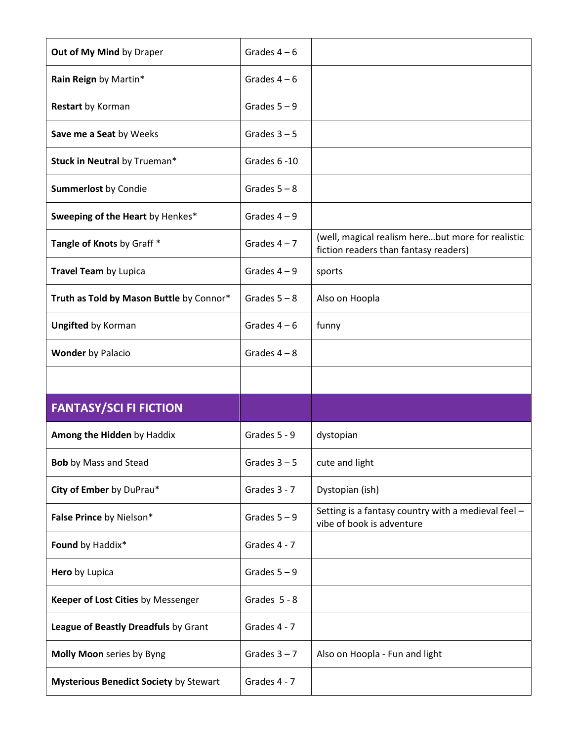| Out of My Mind by Draper                 | Grades $4-6$   |                                                                                            |
|------------------------------------------|----------------|--------------------------------------------------------------------------------------------|
| Rain Reign by Martin*                    | Grades $4-6$   |                                                                                            |
| <b>Restart by Korman</b>                 | Grades $5 - 9$ |                                                                                            |
| Save me a Seat by Weeks                  | Grades $3 - 5$ |                                                                                            |
| Stuck in Neutral by Trueman*             | Grades 6-10    |                                                                                            |
| <b>Summerlost by Condie</b>              | Grades $5 - 8$ |                                                                                            |
| Sweeping of the Heart by Henkes*         | Grades $4-9$   |                                                                                            |
| Tangle of Knots by Graff*                | Grades $4 - 7$ | (well, magical realism herebut more for realistic<br>fiction readers than fantasy readers) |
| Travel Team by Lupica                    | Grades $4-9$   | sports                                                                                     |
| Truth as Told by Mason Buttle by Connor* | Grades $5 - 8$ | Also on Hoopla                                                                             |
| <b>Ungifted by Korman</b>                | Grades $4-6$   | funny                                                                                      |
| <b>Wonder by Palacio</b>                 | Grades $4-8$   |                                                                                            |
|                                          |                |                                                                                            |
|                                          |                |                                                                                            |
| <b>FANTASY/SCI FI FICTION</b>            |                |                                                                                            |
| Among the Hidden by Haddix               | Grades 5 - 9   | dystopian                                                                                  |
| <b>Bob</b> by Mass and Stead             | Grades $3 - 5$ | cute and light                                                                             |
| City of Ember by DuPrau*                 | Grades 3 - 7   | Dystopian (ish)                                                                            |
| False Prince by Nielson*                 | Grades $5 - 9$ | Setting is a fantasy country with a medieval feel -<br>vibe of book is adventure           |
| Found by Haddix*                         | Grades 4 - 7   |                                                                                            |
| Hero by Lupica                           | Grades $5-9$   |                                                                                            |
| Keeper of Lost Cities by Messenger       | Grades 5 - 8   |                                                                                            |
| League of Beastly Dreadfuls by Grant     | Grades 4 - 7   |                                                                                            |
| Molly Moon series by Byng                | Grades $3 - 7$ | Also on Hoopla - Fun and light                                                             |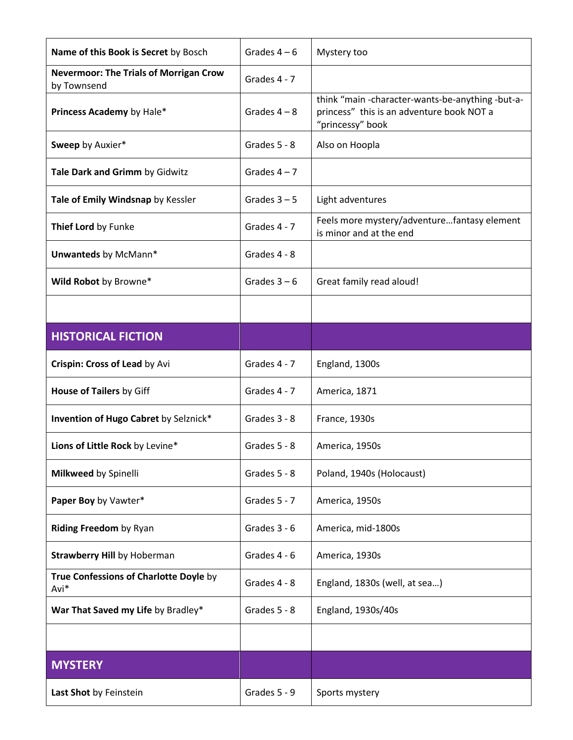| Name of this Book is Secret by Bosch                         | Grades $4-6$   | Mystery too                                                                                                       |
|--------------------------------------------------------------|----------------|-------------------------------------------------------------------------------------------------------------------|
| <b>Nevermoor: The Trials of Morrigan Crow</b><br>by Townsend | Grades 4 - 7   |                                                                                                                   |
| Princess Academy by Hale*                                    | Grades $4-8$   | think "main -character-wants-be-anything -but-a-<br>princess" this is an adventure book NOT a<br>"princessy" book |
| Sweep by Auxier*                                             | Grades 5 - 8   | Also on Hoopla                                                                                                    |
| Tale Dark and Grimm by Gidwitz                               | Grades $4 - 7$ |                                                                                                                   |
| Tale of Emily Windsnap by Kessler                            | Grades $3 - 5$ | Light adventures                                                                                                  |
| Thief Lord by Funke                                          | Grades 4 - 7   | Feels more mystery/adventurefantasy element<br>is minor and at the end                                            |
| Unwanteds by McMann*                                         | Grades 4 - 8   |                                                                                                                   |
| Wild Robot by Browne*                                        | Grades $3-6$   | Great family read aloud!                                                                                          |
|                                                              |                |                                                                                                                   |
| <b>HISTORICAL FICTION</b>                                    |                |                                                                                                                   |
| Crispin: Cross of Lead by Avi                                | Grades 4 - 7   | England, 1300s                                                                                                    |
| House of Tailers by Giff                                     | Grades 4 - 7   | America, 1871                                                                                                     |
| Invention of Hugo Cabret by Selznick*                        | Grades 3 - 8   | France, 1930s                                                                                                     |
| Lions of Little Rock by Levine*                              | Grades 5 - 8   | America, 1950s                                                                                                    |
| Milkweed by Spinelli                                         | Grades 5 - 8   | Poland, 1940s (Holocaust)                                                                                         |
| Paper Boy by Vawter*                                         | Grades 5 - 7   | America, 1950s                                                                                                    |
| Riding Freedom by Ryan                                       | Grades 3 - 6   | America, mid-1800s                                                                                                |
| <b>Strawberry Hill by Hoberman</b>                           | Grades 4 - 6   | America, 1930s                                                                                                    |
| True Confessions of Charlotte Doyle by<br>Avi*               | Grades 4 - 8   | England, 1830s (well, at sea)                                                                                     |
| War That Saved my Life by Bradley*                           | Grades 5 - 8   | England, 1930s/40s                                                                                                |
|                                                              |                |                                                                                                                   |
| <b>MYSTERY</b>                                               |                |                                                                                                                   |
| Last Shot by Feinstein                                       | Grades 5 - 9   | Sports mystery                                                                                                    |